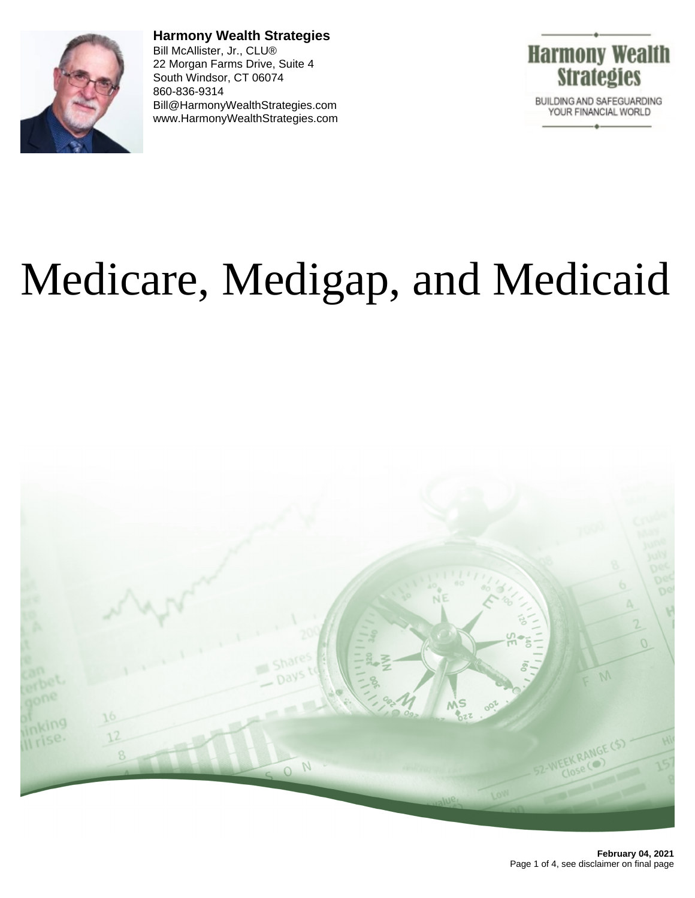

**Harmony Wealth Strategies** Bill McAllister, Jr., CLU® 22 Morgan Farms Drive, Suite 4 South Windsor, CT 06074 860-836-9314 Bill@HarmonyWealthStrategies.com www.HarmonyWealthStrategies.com



## Medicare, Medigap, and Medicaid

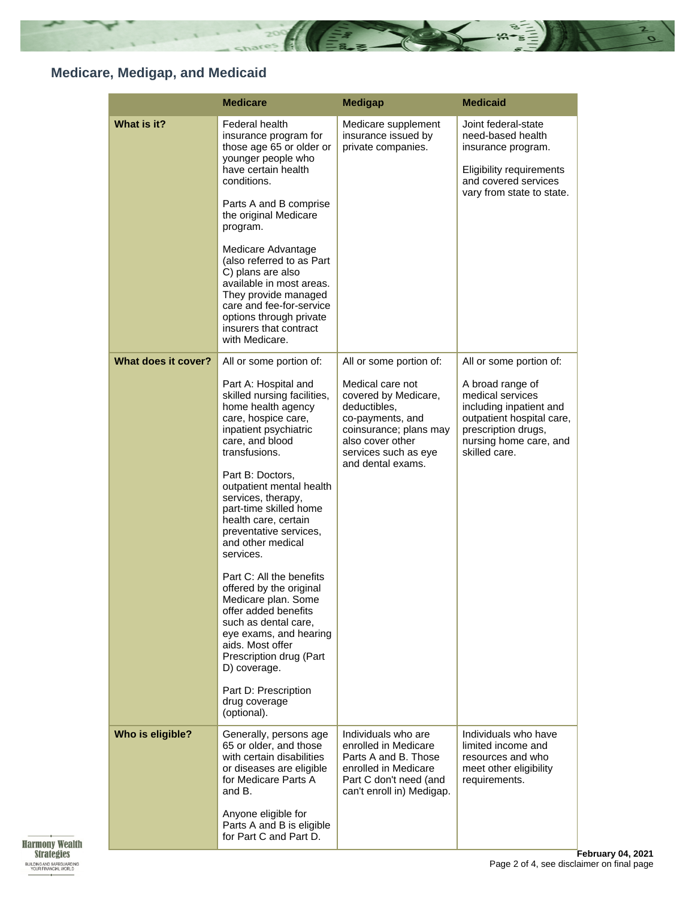

## **Medicare, Medigap, and Medicaid**

|                     | <b>Medicare</b>                                                                                                                                                                                                                                                                                                                                                                                                                                                                                                                                                                                                   | <b>Medigap</b>                                                                                                                                                          | <b>Medicaid</b>                                                                                                                                                |
|---------------------|-------------------------------------------------------------------------------------------------------------------------------------------------------------------------------------------------------------------------------------------------------------------------------------------------------------------------------------------------------------------------------------------------------------------------------------------------------------------------------------------------------------------------------------------------------------------------------------------------------------------|-------------------------------------------------------------------------------------------------------------------------------------------------------------------------|----------------------------------------------------------------------------------------------------------------------------------------------------------------|
| What is it?         | Federal health<br>insurance program for<br>those age 65 or older or<br>younger people who<br>have certain health<br>conditions.<br>Parts A and B comprise<br>the original Medicare<br>program.<br>Medicare Advantage<br>(also referred to as Part<br>C) plans are also<br>available in most areas.<br>They provide managed<br>care and fee-for-service<br>options through private<br>insurers that contract<br>with Medicare.                                                                                                                                                                                     | Medicare supplement<br>insurance issued by<br>private companies.                                                                                                        | Joint federal-state<br>need-based health<br>insurance program.<br><b>Eligibility requirements</b><br>and covered services<br>vary from state to state.         |
| What does it cover? | All or some portion of:                                                                                                                                                                                                                                                                                                                                                                                                                                                                                                                                                                                           | All or some portion of:                                                                                                                                                 | All or some portion of:                                                                                                                                        |
|                     | Part A: Hospital and<br>skilled nursing facilities,<br>home health agency<br>care, hospice care,<br>inpatient psychiatric<br>care, and blood<br>transfusions.<br>Part B: Doctors,<br>outpatient mental health<br>services, therapy,<br>part-time skilled home<br>health care, certain<br>preventative services,<br>and other medical<br>services.<br>Part C: All the benefits<br>offered by the original<br>Medicare plan. Some<br>offer added benefits<br>such as dental care,<br>eye exams, and hearing<br>aids. Most offer<br>Prescription drug (Part<br>D) coverage.<br>Part D: Prescription<br>drug coverage | Medical care not<br>covered by Medicare,<br>deductibles,<br>co-payments, and<br>coinsurance; plans may<br>also cover other<br>services such as eye<br>and dental exams. | A broad range of<br>medical services<br>including inpatient and<br>outpatient hospital care,<br>prescription drugs,<br>nursing home care, and<br>skilled care. |
| Who is eligible?    | (optional).<br>Generally, persons age<br>65 or older, and those<br>with certain disabilities<br>or diseases are eligible<br>for Medicare Parts A<br>and B.<br>Anyone eligible for<br>Parts A and B is eligible<br>for Part C and Part D.                                                                                                                                                                                                                                                                                                                                                                          | Individuals who are<br>enrolled in Medicare<br>Parts A and B. Those<br>enrolled in Medicare<br>Part C don't need (and<br>can't enroll in) Medigap.                      | Individuals who have<br>limited income and<br>resources and who<br>meet other eligibility<br>requirements.                                                     |

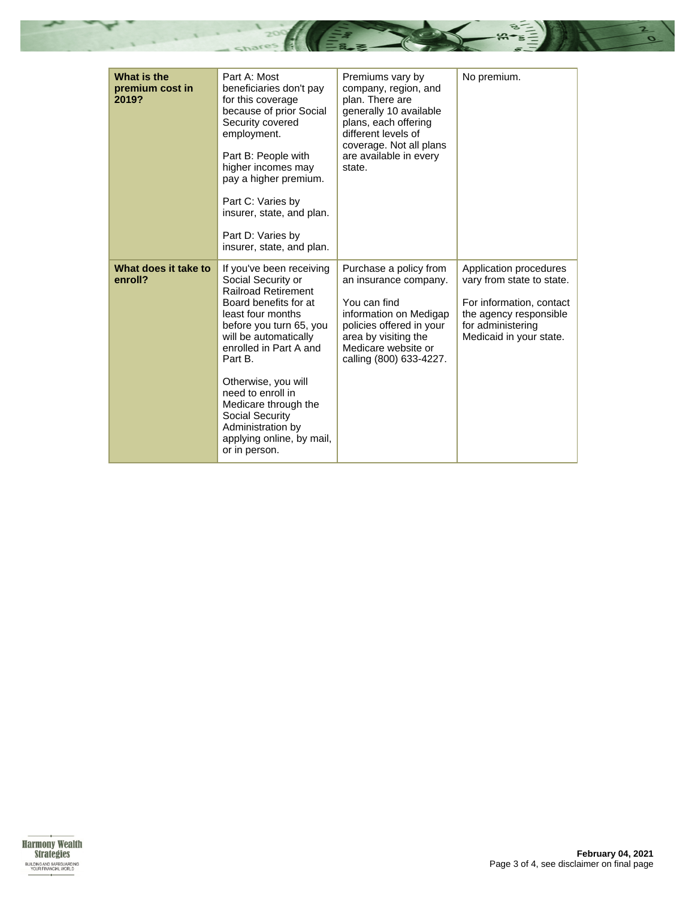

| What is the<br>premium cost in<br>2019? | Part A: Most<br>beneficiaries don't pay<br>for this coverage<br>because of prior Social<br>Security covered<br>employment.<br>Part B: People with<br>higher incomes may<br>pay a higher premium.<br>Part C: Varies by<br>insurer, state, and plan.<br>Part D: Varies by<br>insurer, state, and plan.                                                                          | Premiums vary by<br>company, region, and<br>plan. There are<br>generally 10 available<br>plans, each offering<br>different levels of<br>coverage. Not all plans<br>are available in every<br>state. | No premium.                                                                                                                                               |
|-----------------------------------------|-------------------------------------------------------------------------------------------------------------------------------------------------------------------------------------------------------------------------------------------------------------------------------------------------------------------------------------------------------------------------------|-----------------------------------------------------------------------------------------------------------------------------------------------------------------------------------------------------|-----------------------------------------------------------------------------------------------------------------------------------------------------------|
| What does it take to<br>enroll?         | If you've been receiving<br>Social Security or<br><b>Railroad Retirement</b><br>Board benefits for at<br>least four months<br>before you turn 65, you<br>will be automatically<br>enrolled in Part A and<br>Part B.<br>Otherwise, you will<br>need to enroll in<br>Medicare through the<br>Social Security<br>Administration by<br>applying online, by mail,<br>or in person. | Purchase a policy from<br>an insurance company.<br>You can find<br>information on Medigap<br>policies offered in your<br>area by visiting the<br>Medicare website or<br>calling (800) 633-4227.     | Application procedures<br>vary from state to state.<br>For information, contact<br>the agency responsible<br>for administering<br>Medicaid in your state. |